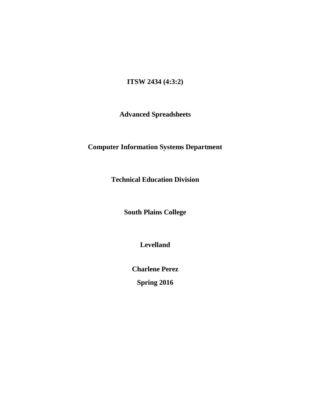# **ITSW 2434 (4:3:2)**

# **Advanced Spreadsheets**

# **Computer Information Systems Department**

**Technical Education Division**

**South Plains College**

**Levelland**

**Charlene Perez**

**Spring 2016**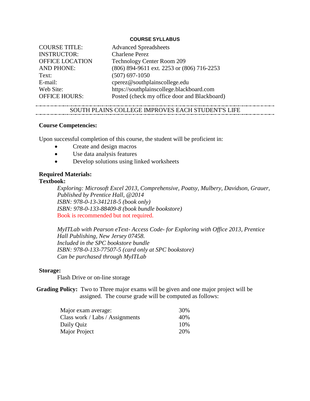### **COURSE SYLLABUS**

| <b>COURSE TITLE:</b> | <b>Advanced Spreadsheets</b>                 |
|----------------------|----------------------------------------------|
| <b>INSTRUCTOR:</b>   | <b>Charlene Perez</b>                        |
| OFFICE LOCATION      | Technology Center Room 209                   |
| <b>AND PHONE:</b>    | (806) 894-9611 ext. 2253 or (806) 716-2253   |
| Text:                | $(507)$ 697-1050                             |
| E-mail:              | cperez@southplainscollege.edu                |
| Web Site:            | https://southplainscollege.blackboard.com    |
| <b>OFFICE HOURS:</b> | Posted (check my office door and Blackboard) |

### SOUTH PLAINS COLLEGE IMPROVES EACH STUDENT'S LIFE

### **Course Competencies:**

Upon successful completion of this course, the student will be proficient in:

- Create and design macros
- Use data analysis features
- Develop solutions using linked worksheets

# **Required Materials:**

### **Textbook:**

*Exploring: Microsoft Excel 2013, Comprehensive, Poatsy, Mulbery, Davidson, Grauer, Published by Prentice Hall, @2014 ISBN: 978-0-13-341218-5 (book only) ISBN: 978-0-133-88409-8 (book bundle bookstore)* Book is recommended but not required.

*MyITLab with Pearson eText- Access Code- for Exploring with Office 2013, Prentice Hall Publishing, New Jersey 07458. Included in the SPC bookstore bundle ISBN: 978-0-133-77507-5 (card only at SPC bookstore) Can be purchased through MyITLab*

### **Storage:**

Flash Drive or on-line storage

**Grading Policy:** Two to Three major exams will be given and one major project will be assigned. The course grade will be computed as follows:

| Major exam average:             | 30%  |
|---------------------------------|------|
| Class work / Labs / Assignments | 40%  |
| Daily Quiz                      | 10\% |
| Major Project                   | 20%  |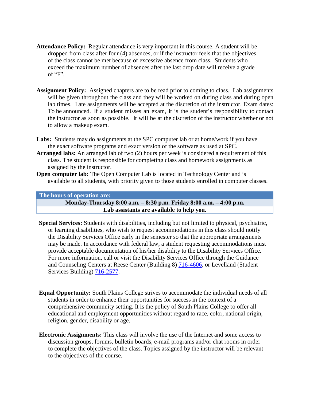- **Attendance Policy:** Regular attendance is very important in this course. A student will be dropped from class after four (4) absences, or if the instructor feels that the objectives of the class cannot be met because of excessive absence from class. Students who exceed the maximum number of absences after the last drop date will receive a grade of " $F$ ".
- **Assignment Policy:** Assigned chapters are to be read prior to coming to class. Lab assignments will be given throughout the class and they will be worked on during class and during open lab times. Late assignments will be accepted at the discretion of the instructor. Exam dates: To be announced. If a student misses an exam, it is the student's responsibility to contact the instructor as soon as possible. It will be at the discretion of the instructor whether or not to allow a makeup exam.
- Labs: Students may do assignments at the SPC computer lab or at home/work if you have the exact software programs and exact version of the software as used at SPC.
- **Arranged labs:** An arranged lab of two (2) hours per week is considered a requirement of this class. The student is responsible for completing class and homework assignments as assigned by the instructor.
- **Open computer lab:** The Open Computer Lab is located in Technology Center and is available to all students, with priority given to those students enrolled in computer classes.

#### **The hours of operation are:**

**Monday-Thursday 8:00 a.m. – 8:30 p.m. Friday 8:00 a.m. – 4:00 p.m. Lab assistants are available to help you.**

- **Special Services:** Students with disabilities, including but not limited to physical, psychiatric, or learning disabilities, who wish to request accommodations in this class should notify the Disability Services Office early in the semester so that the appropriate arrangements may be made. In accordance with federal law, a student requesting accommodations must provide acceptable documentation of his/her disability to the Disability Services Office. For more information, call or visit the Disability Services Office through the Guidance and Counseling Centers at Reese Center (Building 8) [716-4606,](tel:716-4606) or Levelland (Student Services Building) [716-2577.](tel:716-2577)
- **Equal Opportunity:** South Plains College strives to accommodate the individual needs of all students in order to enhance their opportunities for success in the context of a comprehensive community setting. It is the policy of South Plains College to offer all educational and employment opportunities without regard to race, color, national origin, religion, gender, disability or age.
- **Electronic Assignments:** This class will involve the use of the Internet and some access to discussion groups, forums, bulletin boards, e-mail programs and/or chat rooms in order to complete the objectives of the class. Topics assigned by the instructor will be relevant to the objectives of the course.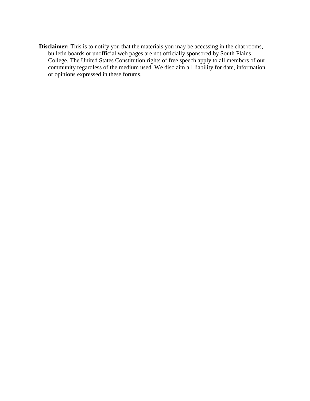**Disclaimer:** This is to notify you that the materials you may be accessing in the chat rooms, bulletin boards or unofficial web pages are not officially sponsored by South Plains College. The United States Constitution rights of free speech apply to all members of our community regardless of the medium used. We disclaim all liability for date, information or opinions expressed in these forums.